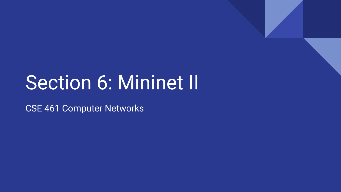# Section 6: Mininet II

CSE 461 Computer Networks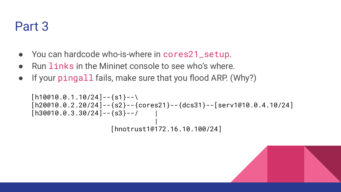# Part 3

- You can hardcode who-is-where in cores21\_setup.
- Run links in the Mininet console to see who's where.
- If your pingall fails, make sure that you flood ARP. (Why?)

```
[h10@10.0.1.10/24]--{s1}--\
[h20@10.0.2.20/24]--{s2}--{cores21}--{dcs31}--[serv1@10.0.4.10/24]
[h30@10.0.3.30/24]--{s3}--/
 |
                  [hnotrust1@172.16.10.100/24]
```
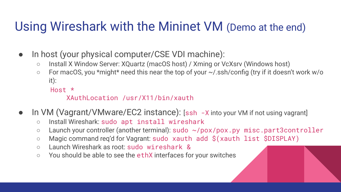# Using Wireshark with the Mininet VM (Demo at the end)

- In host (your physical computer/CSE VDI machine):
	- Install X Window Server: XQuartz (macOS host) / Xming or VcXsrv (Windows host)
	- For macOS, you \*might\* need this near the top of your ~/.ssh/config (try if it doesn't work w/o it):

Host \*

#### XAuthLocation /usr/X11/bin/xauth

- In VM (Vagrant/VMware/EC2 instance): [ssh -X into your VM if not using vagrant]
	- Install Wireshark: sudo apt install wireshark
	- Launch your controller (another terminal): sudo ~/pox/pox.py misc.part3controller
	- Magic command req'd for Vagrant: sudo xauth add \$(xauth list \$DISPLAY)
	- Launch Wireshark as root: sudo wireshark &
	- You should be able to see the ethX interfaces for your switches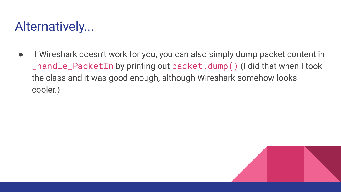# Alternatively...

● If Wireshark doesn't work for you, you can also simply dump packet content in \_handle\_PacketIn by printing out packet.dump() (I did that when I took the class and it was good enough, although Wireshark somehow looks cooler.)

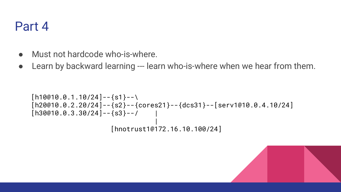### Part 4

- Must not hardcode who-is-where.
- Learn by backward learning --- learn who-is-where when we hear from them.

```
[h10@10.0.1.10/24]--{s1}--\
[h20@10.0.2.20/24] -- \s2}-{cores21}-\{dcs31}--[serv1@10.0.4.10/24][h30@10.0.3.30/24]--{s3}--/
 |
                  [hnotrust1@172.16.10.100/24]
```
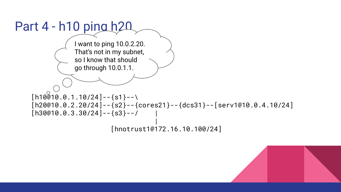

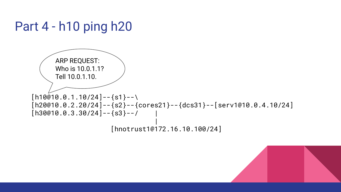

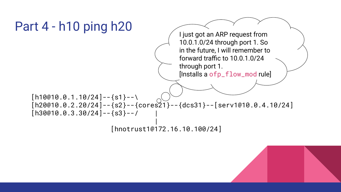

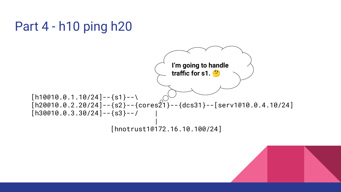

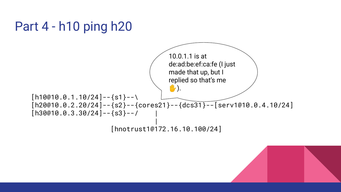

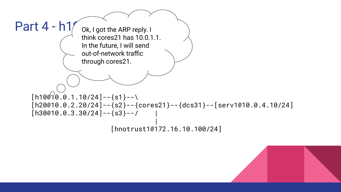

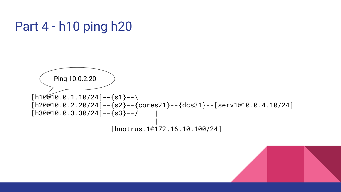

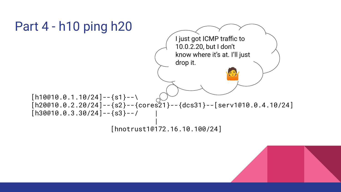



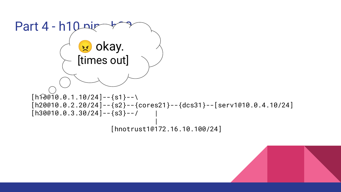$Part 4 - h10$  ping  $[h$  $\widehat{PQ010.0.1.10/24}$ ]--{s1}--\  $[h20@10.0.2.20/24] -- \s2}-{cores21}-\{dcs31}--[serv1@10.0.4.10/24]$  $[h30@10.0.3.30/24]$ --{s3}--/ | [hnotrust1@172.16.10.100/24] **x** okay. [times out]

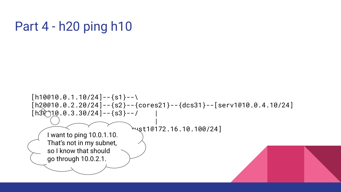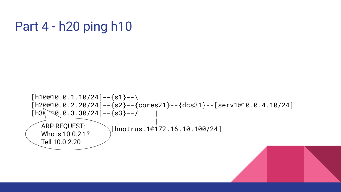```
[h10@10.0.1.10/24]--{s1}--\
[h20@10.0.2.20/24]--{s2}--{cores21}--{dcs31}--[serv1@10.0.4.10/24]
[h3\sqrt{9}.0.3.30/24]--{s3}--/
  ARP REQUEST:
                      \sqrt{h}notrust1@172.16.10.100/24]
  Who is 10.0.2.1? 
  Tell 10.0.2.20
```
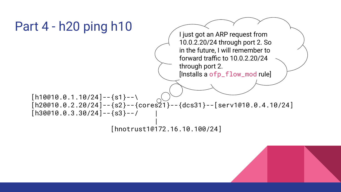

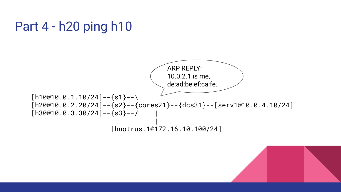

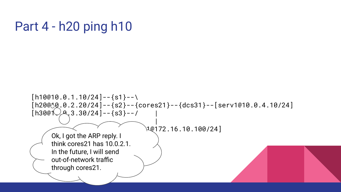$[h10@10.0.1.10/24]$ --{s1}--\  $[h20@30.0.2.20/24] -- \s2}-{cores21}-\{dcs31}--[serv1@10.0.4.10/24]$  $[h30@1]$ <sup>2</sup>, 3.30/24]--{s3}--/  $\vee$   $\sim$   $\sim$   $\sim$   $\vee$  $[10172.16.10.100/24]$ Ok, I got the ARP reply. I think cores21 has 10.0.2.1. In the future, I will send out-of-network traffic through cores21.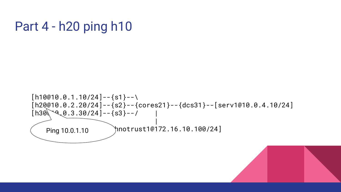

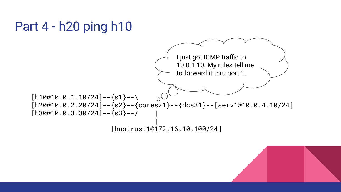

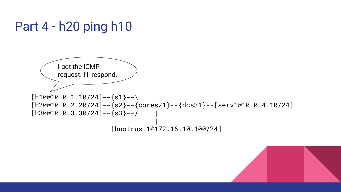

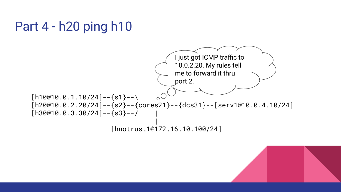

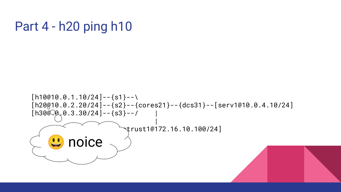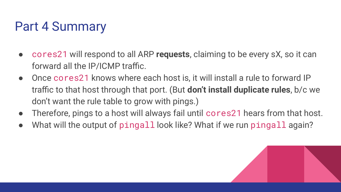# Part 4 Summary

- cores21 will respond to all ARP **requests**, claiming to be every sX, so it can forward all the IP/ICMP traffic.
- Once cores21 knows where each host is, it will install a rule to forward IP traffic to that host through that port. (But **don't install duplicate rules**, b/c we don't want the rule table to grow with pings.)
- Therefore, pings to a host will always fail until cores 21 hears from that host.
- What will the output of pingall look like? What if we run pingall again?